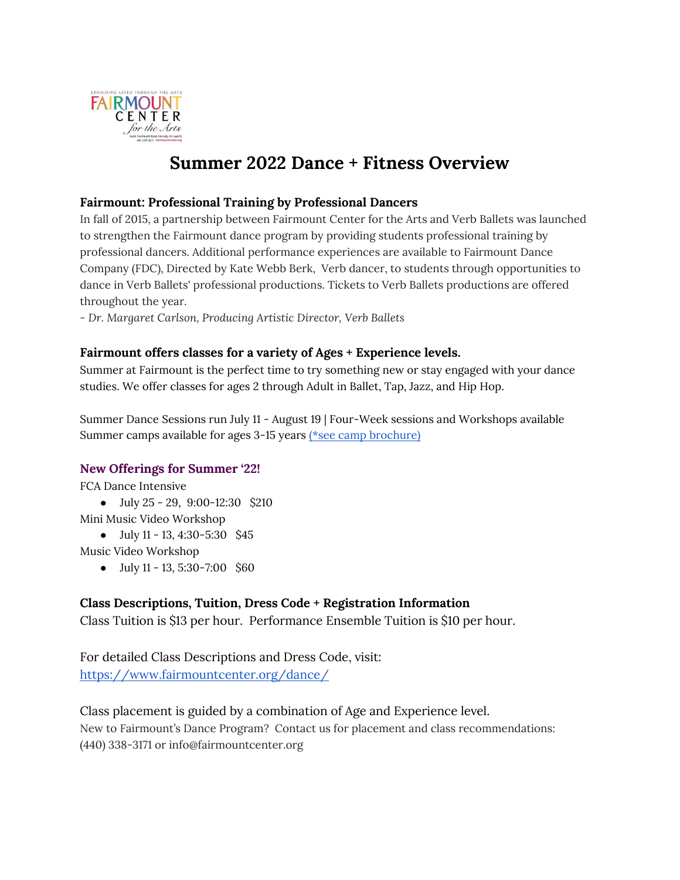

# **Summer 2022 Dance + Fitness Overview**

### **Fairmount: Professional Training by Professional Dancers**

In fall of 2015, a partnership between Fairmount Center for the Arts and Verb Ballets was launched to strengthen the Fairmount dance program by providing students professional training by professional dancers. Additional performance experiences are available to Fairmount Dance Company (FDC), Directed by Kate Webb Berk, Verb dancer, to students through opportunities to dance in Verb Ballets' professional productions. Tickets to Verb Ballets productions are offered throughout the year.

*- Dr. Margaret Carlson, Producing Artistic Director, Verb Ballets*

### **Fairmount offers classes for a variety of Ages + Experience levels.**

Summer at Fairmount is the perfect time to try something new or stay engaged with your dance studies. We offer classes for ages 2 through Adult in Ballet, Tap, Jazz, and Hip Hop.

Summer Dance Sessions run July 11 - August 19 | Four-Week sessions and Workshops available Summer camps available for ages 3-15 years [\(\\*see camp brochure\)](https://www.fairmountcenter.org/wp-content/uploads/2022/03/Sm22-Camp-Brochure-for-Website.pdf)

#### **New Offerings for Summer '22!**

FCA Dance Intensive

- $\bullet$  July 25 29, 9:00-12:30 \$210
- Mini Music Video Workshop
	- July 11 13, 4:30-5:30 \$45

Music Video Workshop

 $\bullet$  July 11 - 13, 5:30-7:00 \$60

### **Class Descriptions, Tuition, Dress Code + Registration Information**

Class Tuition is \$13 per hour. Performance Ensemble Tuition is \$10 per hour.

For detailed Class Descriptions and Dress Code, visit[:](https://www.fairmountcenter.org/dance/) <https://www.fairmountcenter.org/dance/>

### Class placement is guided by a combination of Age and Experience level.

New to Fairmount's Dance Program? Contact us for placement and class recommendations: (440) 338-3171 or [info@fairmountcenter.org](mailto:info@fairmountcenter.org)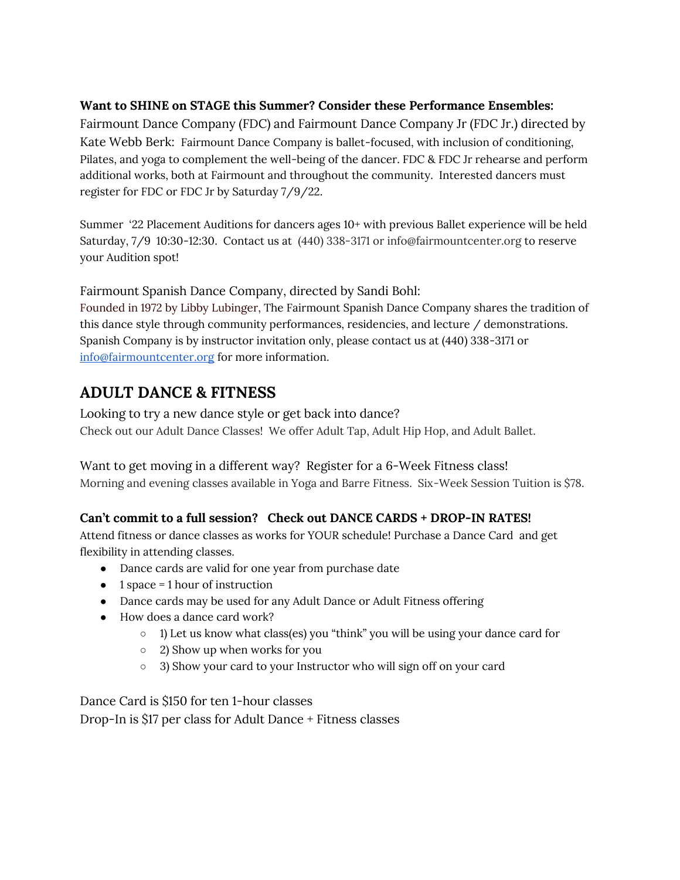### **Want to SHINE on STAGE this Summer? Consider these Performance Ensembles:**

Fairmount Dance Company (FDC) and Fairmount Dance Company Jr (FDC Jr.) directed by Kate Webb Berk: Fairmount Dance Company is ballet-focused, with inclusion of conditioning, Pilates, and yoga to complement the well-being of the dancer. FDC & FDC Jr rehearse and perform additional works, both at Fairmount and throughout the community. Interested dancers must register for FDC or FDC Jr by Saturday 7/9/22.

Summer '22 Placement Auditions for dancers ages 10+ with previous Ballet experience will be held Saturday, 7/9 10:30-12:30. Contact us at (440) 338-3171 or [info@fairmountcenter.org](mailto:info@fairmountcenter.org) to reserve your Audition spot!

Fairmount Spanish Dance Company, directed by Sandi Bohl:

Founded in 1972 by Libby Lubinger, The Fairmount Spanish Dance Company shares the tradition of this dance style through community performances, residencies, and lecture / demonstrations. Spanish Company is by instructor invitation only, please contact us at (440) 338-3171 or [info@fairmountcenter.org](mailto:info@fairmountcenter.org) for more information.

# **ADULT DANCE & FITNESS**

Looking to try a new dance style or get back into dance? Check out our Adult Dance Classes! We offer Adult Tap, Adult Hip Hop, and Adult Ballet.

Want to get moving in a different way? Register for a 6-Week Fitness class! Morning and evening classes available in Yoga and Barre Fitness. Six-Week Session Tuition is \$78.

## **Can't commit to a full session? Check out DANCE CARDS + DROP-IN RATES!**

Attend fitness or dance classes as works for YOUR schedule! Purchase a Dance Card and get flexibility in attending classes.

- Dance cards are valid for one year from purchase date
- $\bullet$  1 space = 1 hour of instruction
- Dance cards may be used for any Adult Dance or Adult Fitness offering
- How does a dance card work?
	- 1) Let us know what class(es) you "think" you will be using your dance card for
	- 2) Show up when works for you
	- 3) Show your card to your Instructor who will sign off on your card

Dance Card is \$150 for ten 1-hour classes

Drop-In is \$17 per class for Adult Dance + Fitness classes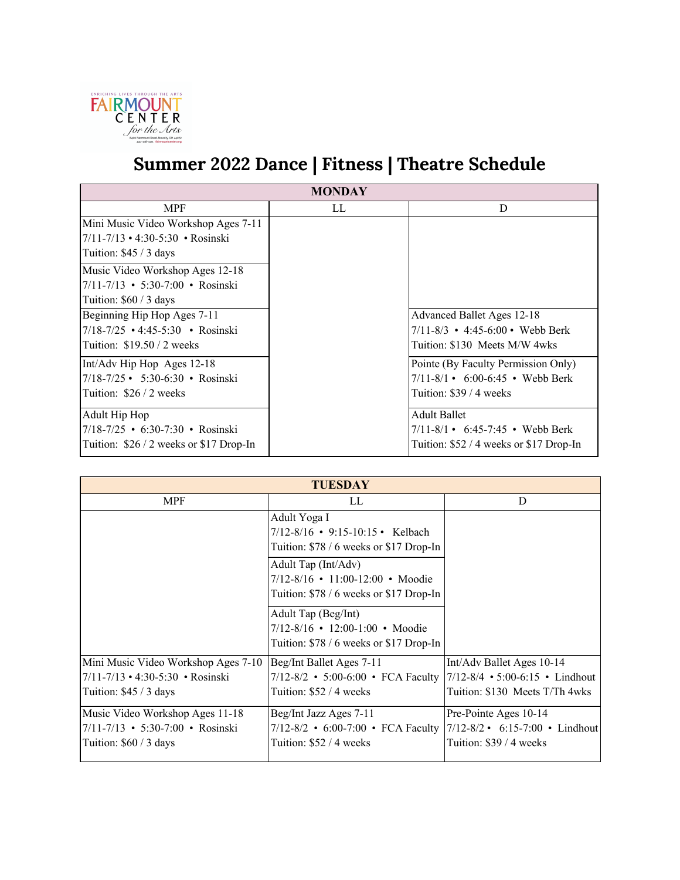

# **Summer 2022 Dance | Fitness | Theatre Schedule**

| <b>MONDAY</b>                                  |    |                                                       |  |
|------------------------------------------------|----|-------------------------------------------------------|--|
| <b>MPF</b>                                     | LL | D                                                     |  |
| Mini Music Video Workshop Ages 7-11            |    |                                                       |  |
| $7/11 - 7/13 \cdot 4:30 - 5:30 \cdot Rosinski$ |    |                                                       |  |
| Tuition: $$45/3$ days                          |    |                                                       |  |
| Music Video Workshop Ages 12-18                |    |                                                       |  |
| $7/11 - 7/13$ • 5:30-7:00 • Rosinski           |    |                                                       |  |
| Tuition: $$60 / 3$ days                        |    |                                                       |  |
| Beginning Hip Hop Ages 7-11                    |    | Advanced Ballet Ages 12-18                            |  |
| 7/18-7/25 • 4:45-5:30 • Rosinski               |    | $7/11 - 8/3$ • 4:45-6:00 • Webb Berk                  |  |
| Tuition: $$19.50 / 2$ weeks                    |    | Tuition: \$130 Meets M/W 4wks                         |  |
| Int/Adv Hip Hop Ages 12-18                     |    | Pointe (By Faculty Permission Only)                   |  |
| $7/18 - 7/25$ • 5:30-6:30 • Rosinski           |    | $7/11 - 8/1 \cdot 6:00 - 6:45 \cdot$ Webb Berk        |  |
| Tuition: \$26 / 2 weeks                        |    | Tuition: \$39 / 4 weeks                               |  |
| Adult Hip Hop                                  |    | <b>Adult Ballet</b>                                   |  |
| 7/18-7/25 • 6:30-7:30 • Rosinski               |    | $7/11 - 8/1 \cdot 6:45 - 7:45 \cdot \text{Webb}$ Berk |  |
| Tuition: $$26/2$ weeks or \$17 Drop-In         |    | Tuition: $$52 / 4$ weeks or \$17 Drop-In              |  |

| <b>TUESDAY</b>                                                                                                 |                                                                                                                                                                                                             |                                                                                                    |
|----------------------------------------------------------------------------------------------------------------|-------------------------------------------------------------------------------------------------------------------------------------------------------------------------------------------------------------|----------------------------------------------------------------------------------------------------|
| <b>MPF</b>                                                                                                     | LL                                                                                                                                                                                                          | D                                                                                                  |
|                                                                                                                | Adult Yoga I<br>7/12-8/16 • 9:15-10:15 • Kelbach<br>Tuition: \$78 / 6 weeks or \$17 Drop-In<br>Adult Tap (Int/Adv)<br>$7/12 - 8/16 \cdot 11:00 - 12:00 \cdot 10$<br>Tuition: \$78 / 6 weeks or \$17 Drop-In |                                                                                                    |
|                                                                                                                | Adult Tap (Beg/Int)<br>$7/12 - 8/16$ • 12:00-1:00 • Moodie<br>Tuition: \$78 / 6 weeks or \$17 Drop-In                                                                                                       |                                                                                                    |
| Mini Music Video Workshop Ages 7-10<br>$7/11 - 7/13 \cdot 4:30 - 5:30 \cdot Rosinski$<br>Tuition: $$45/3$ days | Beg/Int Ballet Ages 7-11<br>$7/12 - 8/2$ • 5:00-6:00 • FCA Faculty<br>Tuition: \$52 / 4 weeks                                                                                                               | Int/Adv Ballet Ages 10-14<br>$7/12 - 8/4$ • 5:00-6:15 • Lindhout<br>Tuition: \$130 Meets T/Th 4wks |
| Music Video Workshop Ages 11-18<br>$7/11 - 7/13$ • 5:30-7:00 • Rosinski<br>Tuition: $$60 / 3$ days             | Beg/Int Jazz Ages 7-11<br>7/12-8/2 • 6:00-7:00 • FCA Faculty 7/12-8/2 • 6:15-7:00 • Lindhout<br>Tuition: \$52 / 4 weeks                                                                                     | Pre-Pointe Ages 10-14<br>Tuition: \$39 / 4 weeks                                                   |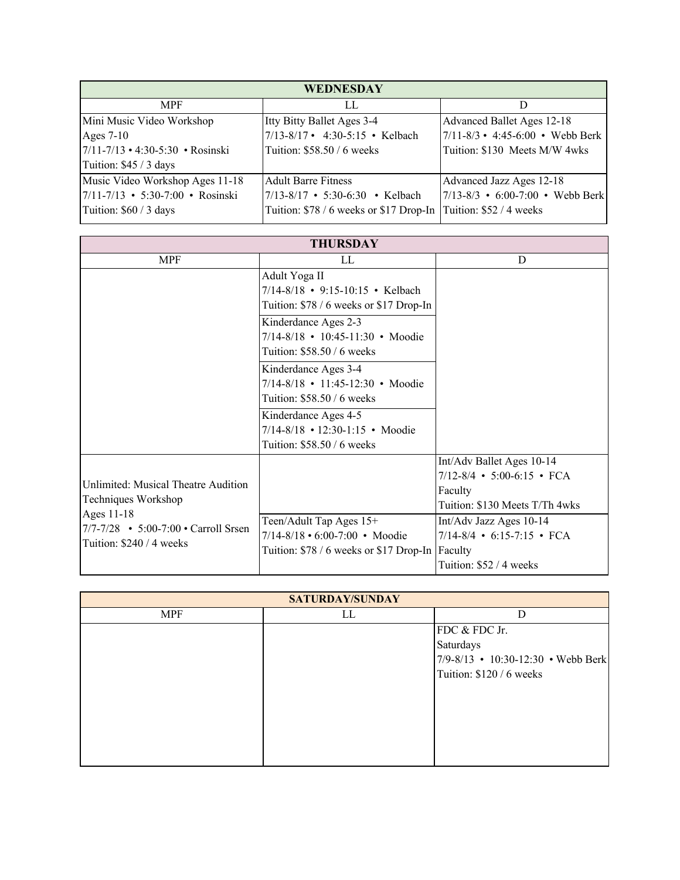| WEDNESDAY                                      |                                                                   |                                             |  |
|------------------------------------------------|-------------------------------------------------------------------|---------------------------------------------|--|
| <b>MPF</b>                                     | LL                                                                |                                             |  |
| Mini Music Video Workshop                      | Itty Bitty Ballet Ages 3-4                                        | Advanced Ballet Ages 12-18                  |  |
| Ages $7-10$                                    | $7/13 - 8/17$ • 4:30-5:15 • Kelbach                               | $7/11 - 8/3$ • 4:45-6:00 • Webb Berk        |  |
| $7/11 - 7/13 \cdot 4:30 - 5:30 \cdot Rosinski$ | Tuition: \$58.50 / 6 weeks                                        | Tuition: \$130 Meets M/W 4wks               |  |
| Tuition: \$45 / 3 days                         |                                                                   |                                             |  |
| Music Video Workshop Ages 11-18                | <b>Adult Barre Fitness</b>                                        | Advanced Jazz Ages 12-18                    |  |
| $7/11 - 7/13$ • 5:30-7:00 • Rosinski           | 7/13-8/17 • 5:30-6:30 • Kelbach                                   | $ 7/13-8/3 \cdot 6:00-7:00 \cdot$ Webb Berk |  |
| Tuition: \$60 / 3 days                         | Tuition: \$78 / 6 weeks or \$17 Drop-In   Tuition: \$52 / 4 weeks |                                             |  |

| <b>THURSDAY</b>                                                                                                                              |                                                 |                                |
|----------------------------------------------------------------------------------------------------------------------------------------------|-------------------------------------------------|--------------------------------|
| <b>MPF</b>                                                                                                                                   | LL                                              | D                              |
|                                                                                                                                              | Adult Yoga II                                   |                                |
|                                                                                                                                              | 7/14-8/18 • 9:15-10:15 • Kelbach                |                                |
|                                                                                                                                              | Tuition: \$78 / 6 weeks or \$17 Drop-In         |                                |
|                                                                                                                                              | Kinderdance Ages 2-3                            |                                |
|                                                                                                                                              | 7/14-8/18 • 10:45-11:30 • Moodie                |                                |
|                                                                                                                                              | Tuition: \$58.50 / 6 weeks                      |                                |
|                                                                                                                                              | Kinderdance Ages 3-4                            |                                |
|                                                                                                                                              | 7/14-8/18 • 11:45-12:30 • Moodie                |                                |
|                                                                                                                                              | Tuition: \$58.50 / 6 weeks                      |                                |
|                                                                                                                                              | Kinderdance Ages 4-5                            |                                |
|                                                                                                                                              | 7/14-8/18 • 12:30-1:15 • Moodie                 |                                |
|                                                                                                                                              | Tuition: \$58.50 / 6 weeks                      |                                |
|                                                                                                                                              |                                                 | Int/Adv Ballet Ages 10-14      |
| Unlimited: Musical Theatre Audition<br>Techniques Workshop<br>Ages 11-18<br>7/7-7/28 • 5:00-7:00 • Carroll Srsen<br>Tuition: \$240 / 4 weeks |                                                 | $7/12 - 8/4$ • 5:00-6:15 • FCA |
|                                                                                                                                              |                                                 | Faculty                        |
|                                                                                                                                              |                                                 | Tuition: \$130 Meets T/Th 4wks |
|                                                                                                                                              | Teen/Adult Tap Ages 15+                         | Int/Adv Jazz Ages 10-14        |
|                                                                                                                                              | 7/14-8/18 • 6:00-7:00 • Moodie                  | $7/14 - 8/4$ • 6:15-7:15 • FCA |
|                                                                                                                                              | Tuition: \$78 / 6 weeks or \$17 Drop-In Faculty |                                |
|                                                                                                                                              |                                                 | Tuition: \$52 / 4 weeks        |

| <b>SATURDAY/SUNDAY</b> |    |                                    |
|------------------------|----|------------------------------------|
| MPF                    | LL | D                                  |
|                        |    | FDC & FDC Jr.                      |
|                        |    | Saturdays                          |
|                        |    | 7/9-8/13 • 10:30-12:30 • Webb Berk |
|                        |    | Tuition: \$120 / 6 weeks           |
|                        |    |                                    |
|                        |    |                                    |
|                        |    |                                    |
|                        |    |                                    |
|                        |    |                                    |
|                        |    |                                    |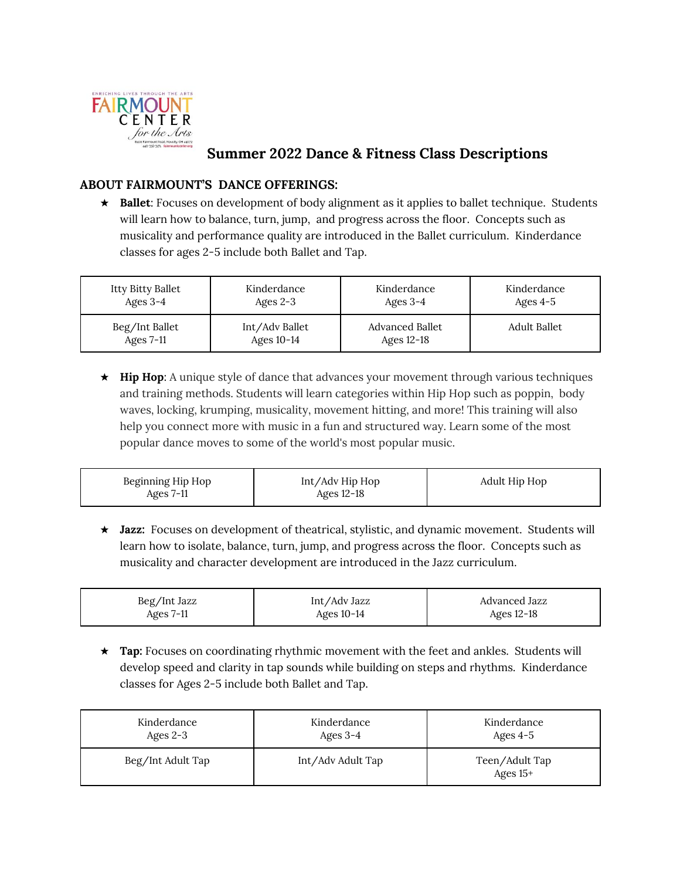

# **Summer 2022 Dance & Fitness Class Descriptions**

### **ABOUT FAIRMOUNT'S DANCE OFFERINGS:**

★ **Ballet**: Focuses on development of body alignment as it applies to ballet technique. Students will learn how to balance, turn, jump, and progress across the floor. Concepts such as musicality and performance quality are introduced in the Ballet curriculum. Kinderdance classes for ages 2-5 include both Ballet and Tap.

| Itty Bitty Ballet | Kinderdance    | Kinderdance     | Kinderdance  |
|-------------------|----------------|-----------------|--------------|
| Ages $3-4$        | Ages $2-3$     | Ages $3-4$      | Ages $4-5$   |
| Beg/Int Ballet    | Int/Adv Ballet | Advanced Ballet | Adult Ballet |
| Ages $7-11$       | Ages $10-14$   | Ages $12-18$    |              |

★ **Hip Hop**: A unique style of dance that advances your movement through various techniques and training methods. Students will learn categories within Hip Hop such as poppin, body waves, locking, krumping, musicality, movement hitting, and more! This training will also help you connect more with music in a fun and structured way. Learn some of the most popular dance moves to some of the world's most popular music.

| Beginning Hip Hop | Int/Adv Hip Hop | Adult Hip Hop |
|-------------------|-----------------|---------------|
| Ages 7-11         | Ages $12-18$    |               |

★ **Jazz:** Focuses on development of theatrical, stylistic, and dynamic movement. Students will learn how to isolate, balance, turn, jump, and progress across the floor. Concepts such as musicality and character development are introduced in the Jazz curriculum.

| Beg/Int Jazz | Int/Adv Jazz | Advanced Jazz |
|--------------|--------------|---------------|
| Ages $7-11$  | Ages $10-14$ | Ages 12-18    |

★ **Tap:** Focuses on coordinating rhythmic movement with the feet and ankles. Students will develop speed and clarity in tap sounds while building on steps and rhythms. Kinderdance classes for Ages 2-5 include both Ballet and Tap.

| Kinderdance       | Kinderdance       | Kinderdance                  |
|-------------------|-------------------|------------------------------|
| Ages $2-3$        | Ages $3-4$        | Ages $4-5$                   |
| Beg/Int Adult Tap | Int/Adv Adult Tap | Teen/Adult Tap<br>Ages $15+$ |